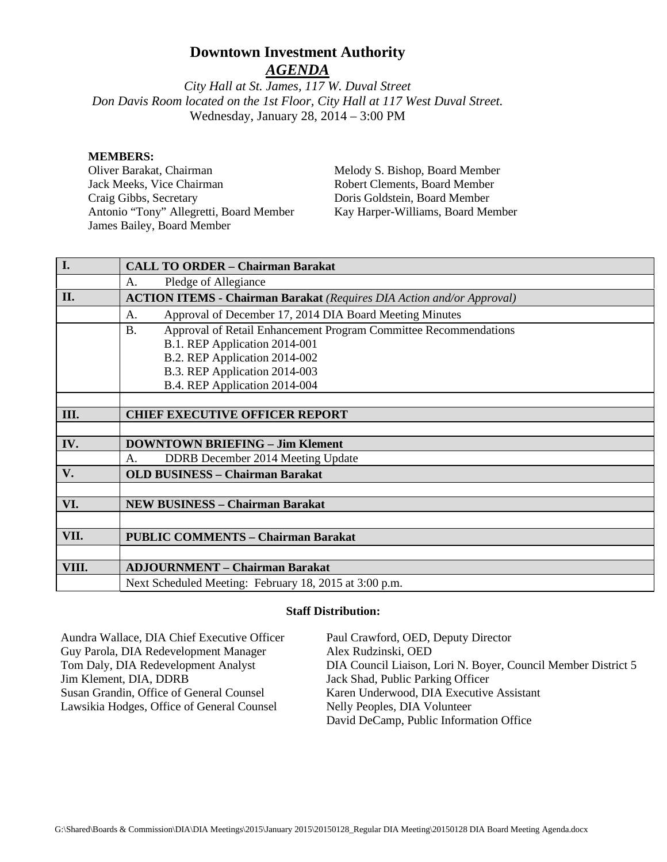# **Downtown Investment Authority**

*AGENDA*

*City Hall at St. James, 117 W. Duval Street Don Davis Room located on the 1st Floor, City Hall at 117 West Duval Street.*  Wednesday, January 28, 2014 – 3:00 PM

#### **MEMBERS:**

Oliver Barakat, Chairman Jack Meeks, Vice Chairman Craig Gibbs, Secretary Antonio "Tony" Allegretti, Board Member James Bailey, Board Member

Melody S. Bishop, Board Member Robert Clements, Board Member Doris Goldstein, Board Member Kay Harper-Williams, Board Member

| I.    | <b>CALL TO ORDER - Chairman Barakat</b>                                       |
|-------|-------------------------------------------------------------------------------|
|       | Pledge of Allegiance<br>A.                                                    |
| II.   | <b>ACTION ITEMS - Chairman Barakat</b> (Requires DIA Action and/or Approval)  |
|       | Approval of December 17, 2014 DIA Board Meeting Minutes<br>A.                 |
|       | Approval of Retail Enhancement Program Committee Recommendations<br><b>B.</b> |
|       | B.1. REP Application 2014-001                                                 |
|       | B.2. REP Application 2014-002                                                 |
|       | B.3. REP Application 2014-003                                                 |
|       | B.4. REP Application 2014-004                                                 |
|       |                                                                               |
| III.  | <b>CHIEF EXECUTIVE OFFICER REPORT</b>                                         |
|       |                                                                               |
| IV.   | <b>DOWNTOWN BRIEFING - Jim Klement</b>                                        |
|       | DDRB December 2014 Meeting Update<br>А.                                       |
| V.    | <b>OLD BUSINESS - Chairman Barakat</b>                                        |
|       |                                                                               |
| VI.   | <b>NEW BUSINESS - Chairman Barakat</b>                                        |
|       |                                                                               |
| VII.  | <b>PUBLIC COMMENTS - Chairman Barakat</b>                                     |
|       |                                                                               |
| VIII. | <b>ADJOURNMENT - Chairman Barakat</b>                                         |
|       | Next Scheduled Meeting: February 18, 2015 at 3:00 p.m.                        |

#### **Staff Distribution:**

Aundra Wallace, DIA Chief Executive Officer Guy Parola, DIA Redevelopment Manager Tom Daly, DIA Redevelopment Analyst Jim Klement, DIA, DDRB Susan Grandin, Office of General Counsel Lawsikia Hodges, Office of General Counsel Paul Crawford, OED, Deputy Director Alex Rudzinski, OED DIA Council Liaison, Lori N. Boyer, Council Member District 5 Jack Shad, Public Parking Officer Karen Underwood, DIA Executive Assistant Nelly Peoples, DIA Volunteer David DeCamp, Public Information Office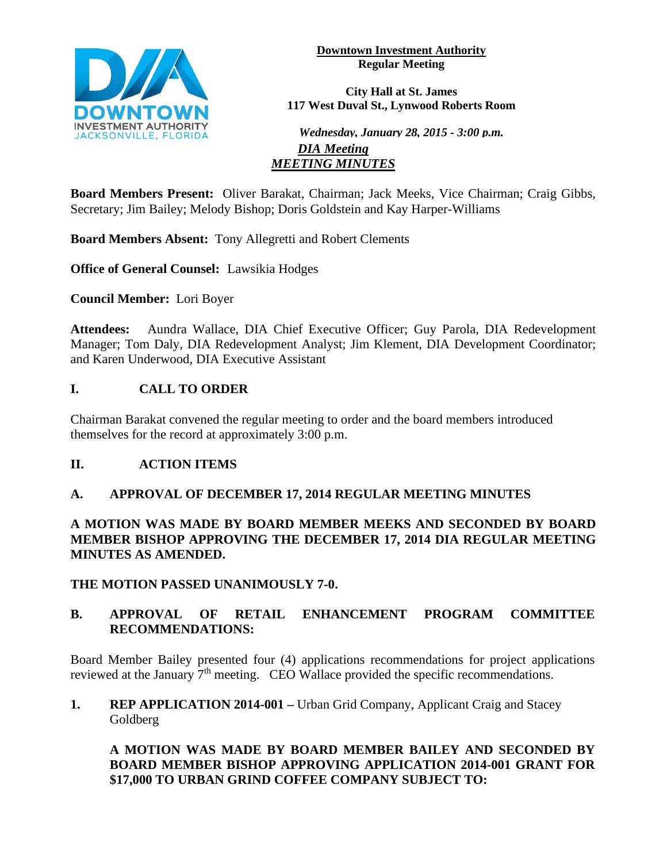

**Downtown Investment Authority Regular Meeting** 

**City Hall at St. James 117 West Duval St., Lynwood Roberts Room**

*Wednesday, January 28, 2015 - 3:00 p.m. DIA Meeting MEETING MINUTES*

**Board Members Present:** Oliver Barakat, Chairman; Jack Meeks, Vice Chairman; Craig Gibbs, Secretary; Jim Bailey; Melody Bishop; Doris Goldstein and Kay Harper-Williams

**Board Members Absent:** Tony Allegretti and Robert Clements

**Office of General Counsel:** Lawsikia Hodges

**Council Member:** Lori Boyer

**Attendees:** Aundra Wallace, DIA Chief Executive Officer; Guy Parola, DIA Redevelopment Manager; Tom Daly, DIA Redevelopment Analyst; Jim Klement, DIA Development Coordinator; and Karen Underwood, DIA Executive Assistant

# **I. CALL TO ORDER**

Chairman Barakat convened the regular meeting to order and the board members introduced themselves for the record at approximately 3:00 p.m.

# **II. ACTION ITEMS**

# **A. APPROVAL OF DECEMBER 17, 2014 REGULAR MEETING MINUTES**

# **A MOTION WAS MADE BY BOARD MEMBER MEEKS AND SECONDED BY BOARD MEMBER BISHOP APPROVING THE DECEMBER 17, 2014 DIA REGULAR MEETING MINUTES AS AMENDED.**

**THE MOTION PASSED UNANIMOUSLY 7-0.**

# **B. APPROVAL OF RETAIL ENHANCEMENT PROGRAM COMMITTEE RECOMMENDATIONS:**

Board Member Bailey presented four (4) applications recommendations for project applications reviewed at the January 7<sup>th</sup> meeting. CEO Wallace provided the specific recommendations.

**1. REP APPLICATION 2014-001 –** Urban Grid Company, Applicant Craig and Stacey Goldberg

**A MOTION WAS MADE BY BOARD MEMBER BAILEY AND SECONDED BY BOARD MEMBER BISHOP APPROVING APPLICATION 2014-001 GRANT FOR \$17,000 TO URBAN GRIND COFFEE COMPANY SUBJECT TO:**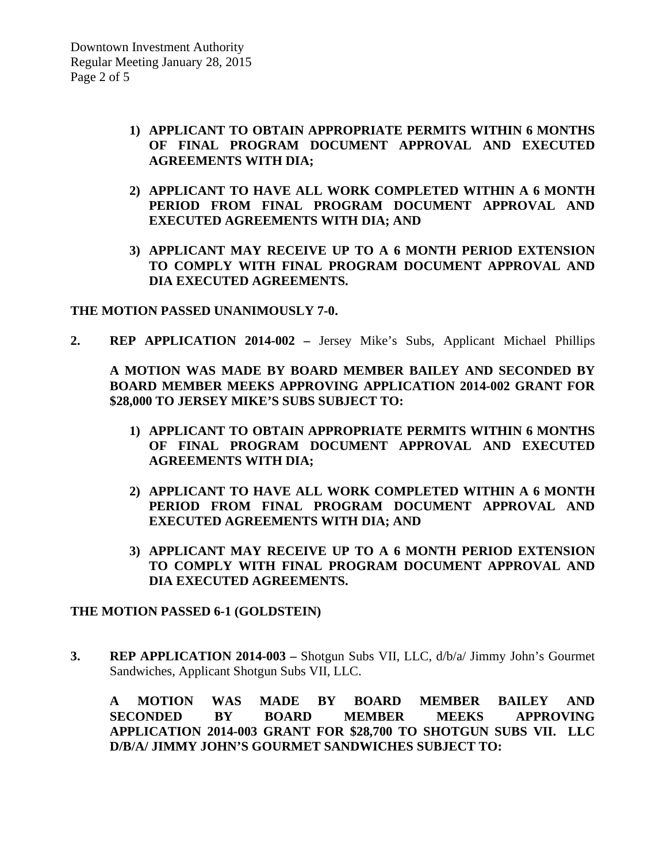- **1) APPLICANT TO OBTAIN APPROPRIATE PERMITS WITHIN 6 MONTHS OF FINAL PROGRAM DOCUMENT APPROVAL AND EXECUTED AGREEMENTS WITH DIA;**
- **2) APPLICANT TO HAVE ALL WORK COMPLETED WITHIN A 6 MONTH PERIOD FROM FINAL PROGRAM DOCUMENT APPROVAL AND EXECUTED AGREEMENTS WITH DIA; AND**
- **3) APPLICANT MAY RECEIVE UP TO A 6 MONTH PERIOD EXTENSION TO COMPLY WITH FINAL PROGRAM DOCUMENT APPROVAL AND DIA EXECUTED AGREEMENTS.**

**THE MOTION PASSED UNANIMOUSLY 7-0.**

**2. REP APPLICATION 2014-002 –** Jersey Mike's Subs, Applicant Michael Phillips

**A MOTION WAS MADE BY BOARD MEMBER BAILEY AND SECONDED BY BOARD MEMBER MEEKS APPROVING APPLICATION 2014-002 GRANT FOR \$28,000 TO JERSEY MIKE'S SUBS SUBJECT TO:**

- **1) APPLICANT TO OBTAIN APPROPRIATE PERMITS WITHIN 6 MONTHS OF FINAL PROGRAM DOCUMENT APPROVAL AND EXECUTED AGREEMENTS WITH DIA;**
- **2) APPLICANT TO HAVE ALL WORK COMPLETED WITHIN A 6 MONTH PERIOD FROM FINAL PROGRAM DOCUMENT APPROVAL AND EXECUTED AGREEMENTS WITH DIA; AND**
- **3) APPLICANT MAY RECEIVE UP TO A 6 MONTH PERIOD EXTENSION TO COMPLY WITH FINAL PROGRAM DOCUMENT APPROVAL AND DIA EXECUTED AGREEMENTS.**

### **THE MOTION PASSED 6-1 (GOLDSTEIN)**

**3. REP APPLICATION 2014-003 –** Shotgun Subs VII, LLC, d/b/a/ Jimmy John's Gourmet Sandwiches, Applicant Shotgun Subs VII, LLC.

**A MOTION WAS MADE BY BOARD MEMBER BAILEY AND SECONDED BY BOARD MEMBER MEEKS APPROVING APPLICATION 2014-003 GRANT FOR \$28,700 TO SHOTGUN SUBS VII. LLC D/B/A/ JIMMY JOHN'S GOURMET SANDWICHES SUBJECT TO:**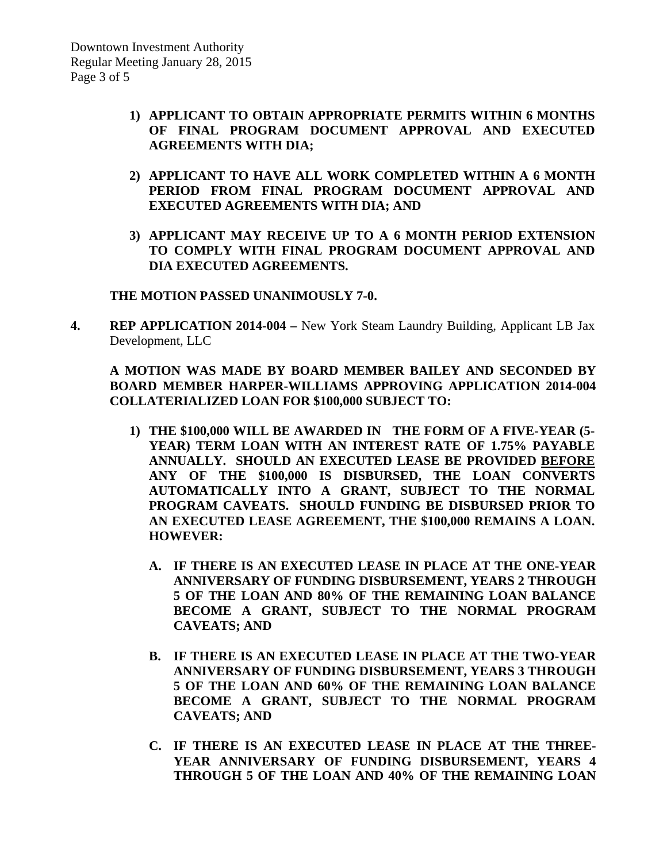- **1) APPLICANT TO OBTAIN APPROPRIATE PERMITS WITHIN 6 MONTHS OF FINAL PROGRAM DOCUMENT APPROVAL AND EXECUTED AGREEMENTS WITH DIA;**
- **2) APPLICANT TO HAVE ALL WORK COMPLETED WITHIN A 6 MONTH PERIOD FROM FINAL PROGRAM DOCUMENT APPROVAL AND EXECUTED AGREEMENTS WITH DIA; AND**
- **3) APPLICANT MAY RECEIVE UP TO A 6 MONTH PERIOD EXTENSION TO COMPLY WITH FINAL PROGRAM DOCUMENT APPROVAL AND DIA EXECUTED AGREEMENTS.**

#### **THE MOTION PASSED UNANIMOUSLY 7-0.**

**4. REP APPLICATION 2014-004 –** New York Steam Laundry Building, Applicant LB Jax Development, LLC

# **A MOTION WAS MADE BY BOARD MEMBER BAILEY AND SECONDED BY BOARD MEMBER HARPER-WILLIAMS APPROVING APPLICATION 2014-004 COLLATERIALIZED LOAN FOR \$100,000 SUBJECT TO:**

- **1) THE \$100,000 WILL BE AWARDED IN THE FORM OF A FIVE-YEAR (5- YEAR) TERM LOAN WITH AN INTEREST RATE OF 1.75% PAYABLE ANNUALLY. SHOULD AN EXECUTED LEASE BE PROVIDED BEFORE ANY OF THE \$100,000 IS DISBURSED, THE LOAN CONVERTS AUTOMATICALLY INTO A GRANT, SUBJECT TO THE NORMAL PROGRAM CAVEATS. SHOULD FUNDING BE DISBURSED PRIOR TO AN EXECUTED LEASE AGREEMENT, THE \$100,000 REMAINS A LOAN. HOWEVER:**
	- **A. IF THERE IS AN EXECUTED LEASE IN PLACE AT THE ONE-YEAR ANNIVERSARY OF FUNDING DISBURSEMENT, YEARS 2 THROUGH 5 OF THE LOAN AND 80% OF THE REMAINING LOAN BALANCE BECOME A GRANT, SUBJECT TO THE NORMAL PROGRAM CAVEATS; AND**
	- **B. IF THERE IS AN EXECUTED LEASE IN PLACE AT THE TWO-YEAR ANNIVERSARY OF FUNDING DISBURSEMENT, YEARS 3 THROUGH 5 OF THE LOAN AND 60% OF THE REMAINING LOAN BALANCE BECOME A GRANT, SUBJECT TO THE NORMAL PROGRAM CAVEATS; AND**
	- **C. IF THERE IS AN EXECUTED LEASE IN PLACE AT THE THREE-YEAR ANNIVERSARY OF FUNDING DISBURSEMENT, YEARS 4 THROUGH 5 OF THE LOAN AND 40% OF THE REMAINING LOAN**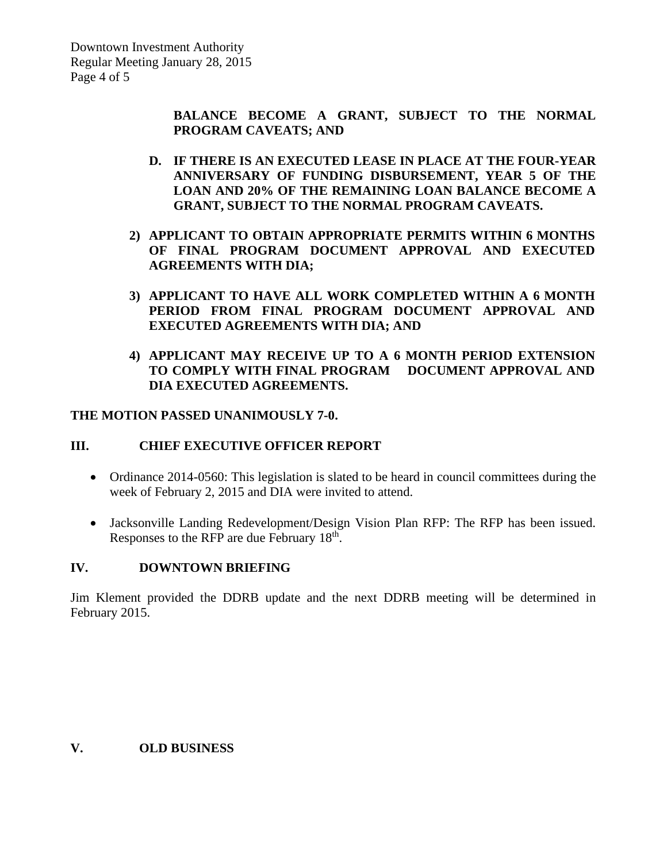**BALANCE BECOME A GRANT, SUBJECT TO THE NORMAL PROGRAM CAVEATS; AND**

- **D. IF THERE IS AN EXECUTED LEASE IN PLACE AT THE FOUR-YEAR ANNIVERSARY OF FUNDING DISBURSEMENT, YEAR 5 OF THE LOAN AND 20% OF THE REMAINING LOAN BALANCE BECOME A GRANT, SUBJECT TO THE NORMAL PROGRAM CAVEATS.**
- **2) APPLICANT TO OBTAIN APPROPRIATE PERMITS WITHIN 6 MONTHS OF FINAL PROGRAM DOCUMENT APPROVAL AND EXECUTED AGREEMENTS WITH DIA;**
- **3) APPLICANT TO HAVE ALL WORK COMPLETED WITHIN A 6 MONTH PERIOD FROM FINAL PROGRAM DOCUMENT APPROVAL AND EXECUTED AGREEMENTS WITH DIA; AND**
- **4) APPLICANT MAY RECEIVE UP TO A 6 MONTH PERIOD EXTENSION TO COMPLY WITH FINAL PROGRAM DOCUMENT APPROVAL AND DIA EXECUTED AGREEMENTS.**

### **THE MOTION PASSED UNANIMOUSLY 7-0.**

# **III. CHIEF EXECUTIVE OFFICER REPORT**

- Ordinance 2014-0560: This legislation is slated to be heard in council committees during the week of February 2, 2015 and DIA were invited to attend.
- Jacksonville Landing Redevelopment/Design Vision Plan RFP: The RFP has been issued. Responses to the RFP are due February 18<sup>th</sup>.

#### **IV. DOWNTOWN BRIEFING**

Jim Klement provided the DDRB update and the next DDRB meeting will be determined in February 2015.

#### **V. OLD BUSINESS**